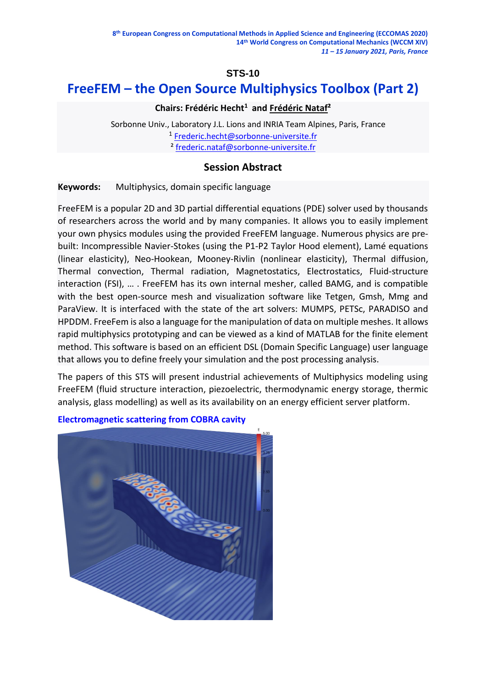# **STS-10**

# **FreeFEM – the Open Source Multiphysics Toolbox (Part 2)**

# **Chairs: Frédéric Hecht<sup>1</sup> and Frédéric Nataf²**

 Sorbonne Univ., Laboratory J.L. Lions and INRIA Team Alpines, Paris, France 1 [Frederic.hecht@sorbonne-universite.fr](mailto:Frederic.hecht@sorbonne-universite.fr) ² [frederic.nataf@sorbonne-universite.fr](mailto:frederic.nataf@sorbonne-universite.fr)

# **Session Abstract**

**Keywords:** Multiphysics, domain specific language

FreeFEM is a popular 2D and 3D partial differential equations (PDE) solver used by thousands of researchers across the world and by many companies. It allows you to easily implement your own physics modules using the provided FreeFEM language. Numerous physics are prebuilt: Incompressible Navier-Stokes (using the P1-P2 Taylor Hood element), Lamé equations (linear elasticity), Neo-Hookean, Mooney-Rivlin (nonlinear elasticity), Thermal diffusion, Thermal convection, Thermal radiation, Magnetostatics, Electrostatics, Fluid-structure interaction (FSI), … . FreeFEM has its own internal mesher, called BAMG, and is compatible with the best open-source mesh and visualization software like Tetgen, Gmsh, Mmg and ParaView. It is interfaced with the state of the art solvers: MUMPS, PETSc, PARADISO and HPDDM. FreeFem is also a language for the manipulation of data on multiple meshes. It allows rapid multiphysics prototyping and can be viewed as a kind of MATLAB for the finite element method. This software is based on an efficient DSL (Domain Specific Language) user language that allows you to define freely your simulation and the post processing analysis.

The papers of this STS will present industrial achievements of Multiphysics modeling using FreeFEM (fluid structure interaction, piezoelectric, thermodynamic energy storage, thermic analysis, glass modelling) as well as its availability on an energy efficient server platform.



#### **[Electromagnetic scattering from COBRA cavity](https://freefem.org/gallery/cobra)**